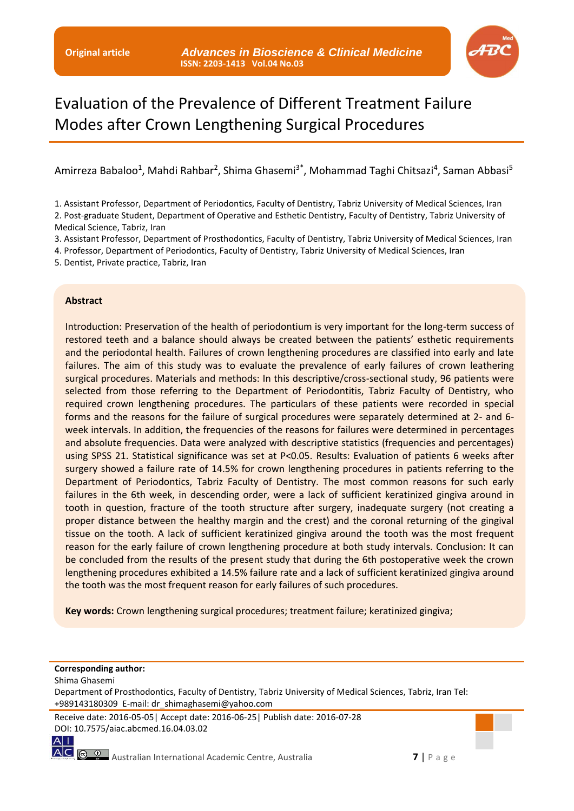

# Evaluation of the Prevalence of Different Treatment Failure Modes after Crown Lengthening Surgical Procedures

# Amirreza Babaloo<sup>1</sup>, Mahdi Rahbar<sup>2</sup>, Shima Ghasemi<sup>3\*</sup>, Mohammad Taghi Chitsazi<sup>4</sup>, Saman Abbasi<sup>5</sup>

1. Assistant Professor, Department of Periodontics, Faculty of Dentistry, Tabriz University of Medical Sciences, Iran

2. Post-graduate Student, Department of Operative and Esthetic Dentistry, Faculty of Dentistry, Tabriz University of Medical Science, Tabriz, Iran

3. Assistant Professor, Department of Prosthodontics, Faculty of Dentistry, Tabriz University of Medical Sciences, Iran

4. Professor, Department of Periodontics, Faculty of Dentistry, Tabriz University of Medical Sciences, Iran

5. Dentist, Private practice, Tabriz, Iran

#### **Abstract**

Introduction: Preservation of the health of periodontium is very important for the long-term success of restored teeth and a balance should always be created between the patients' esthetic requirements and the periodontal health. Failures of crown lengthening procedures are classified into early and late failures. The aim of this study was to evaluate the prevalence of early failures of crown leathering surgical procedures. Materials and methods: In this descriptive/cross-sectional study, 96 patients were selected from those referring to the Department of Periodontitis, Tabriz Faculty of Dentistry, who required crown lengthening procedures. The particulars of these patients were recorded in special forms and the reasons for the failure of surgical procedures were separately determined at 2- and 6 week intervals. In addition, the frequencies of the reasons for failures were determined in percentages and absolute frequencies. Data were analyzed with descriptive statistics (frequencies and percentages) using SPSS 21. Statistical significance was set at P<0.05. Results: Evaluation of patients 6 weeks after surgery showed a failure rate of 14.5% for crown lengthening procedures in patients referring to the Department of Periodontics, Tabriz Faculty of Dentistry. The most common reasons for such early failures in the 6th week, in descending order, were a lack of sufficient keratinized gingiva around in tooth in question, fracture of the tooth structure after surgery, inadequate surgery (not creating a proper distance between the healthy margin and the crest) and the coronal returning of the gingival tissue on the tooth. A lack of sufficient keratinized gingiva around the tooth was the most frequent reason for the early failure of crown lengthening procedure at both study intervals. Conclusion: It can be concluded from the results of the present study that during the 6th postoperative week the crown lengthening procedures exhibited a 14.5% failure rate and a lack of sufficient keratinized gingiva around the tooth was the most frequent reason for early failures of such procedures.

**Key words:** Crown lengthening surgical procedures; treatment failure; keratinized gingiva;

## **Corresponding author:**

Shima Ghasemi

Department of Prosthodontics, Faculty of Dentistry, Tabriz University of Medical Sciences, Tabriz, Iran Tel: +989143180309 E-mail: dr\_shimaghasemi@yahoo.com

Receive date: 2016-05-05| Accept date: 2016-06-25| Publish date: 2016-07-28 DOI: 10.7575/aiac.abcmed.16.04.03.02

 $A$ <sup> $\parallel$ </sup>

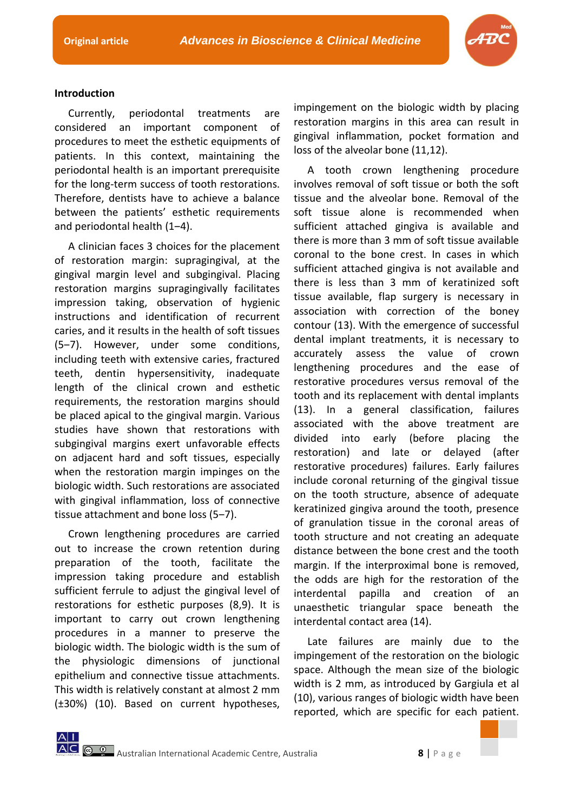

# **Introduction**

Currently, periodontal treatments are considered an important component of procedures to meet the esthetic equipments of patients. In this context, maintaining the periodontal health is an important prerequisite for the long-term success of tooth restorations. Therefore, dentists have to achieve a balance between the patients' esthetic requirements and periodontal health (1‒4).

A clinician faces 3 choices for the placement of restoration margin: supragingival, at the gingival margin level and subgingival. Placing restoration margins supragingivally facilitates impression taking, observation of hygienic instructions and identification of recurrent caries, and it results in the health of soft tissues (5-7). However, under some conditions, including teeth with extensive caries, fractured teeth, dentin hypersensitivity, inadequate length of the clinical crown and esthetic requirements, the restoration margins should be placed apical to the gingival margin. Various studies have shown that restorations with subgingival margins exert unfavorable effects on adjacent hard and soft tissues, especially when the restoration margin impinges on the biologic width. Such restorations are associated with gingival inflammation, loss of connective tissue attachment and bone loss (5-7).

Crown lengthening procedures are carried out to increase the crown retention during preparation of the tooth, facilitate the impression taking procedure and establish sufficient ferrule to adjust the gingival level of restorations for esthetic purposes (8,9). It is important to carry out crown lengthening procedures in a manner to preserve the biologic width. The biologic width is the sum of the physiologic dimensions of junctional epithelium and connective tissue attachments. This width is relatively constant at almost 2 mm (±30%) (10). Based on current hypotheses,

impingement on the biologic width by placing restoration margins in this area can result in gingival inflammation, pocket formation and loss of the alveolar bone (11,12).

A tooth crown lengthening procedure involves removal of soft tissue or both the soft tissue and the alveolar bone. Removal of the soft tissue alone is recommended when sufficient attached gingiva is available and there is more than 3 mm of soft tissue available coronal to the bone crest. In cases in which sufficient attached gingiva is not available and there is less than 3 mm of keratinized soft tissue available, flap surgery is necessary in association with correction of the boney contour (13). With the emergence of successful dental implant treatments, it is necessary to accurately assess the value of crown lengthening procedures and the ease of restorative procedures versus removal of the tooth and its replacement with dental implants (13). In a general classification, failures associated with the above treatment are divided into early (before placing the restoration) and late or delayed (after restorative procedures) failures. Early failures include coronal returning of the gingival tissue on the tooth structure, absence of adequate keratinized gingiva around the tooth, presence of granulation tissue in the coronal areas of tooth structure and not creating an adequate distance between the bone crest and the tooth margin. If the interproximal bone is removed, the odds are high for the restoration of the interdental papilla and creation of an unaesthetic triangular space beneath the interdental contact area (14).

Late failures are mainly due to the impingement of the restoration on the biologic space. Although the mean size of the biologic width is 2 mm, as introduced by Gargiula et al (10), various ranges of biologic width have been reported, which are specific for each patient.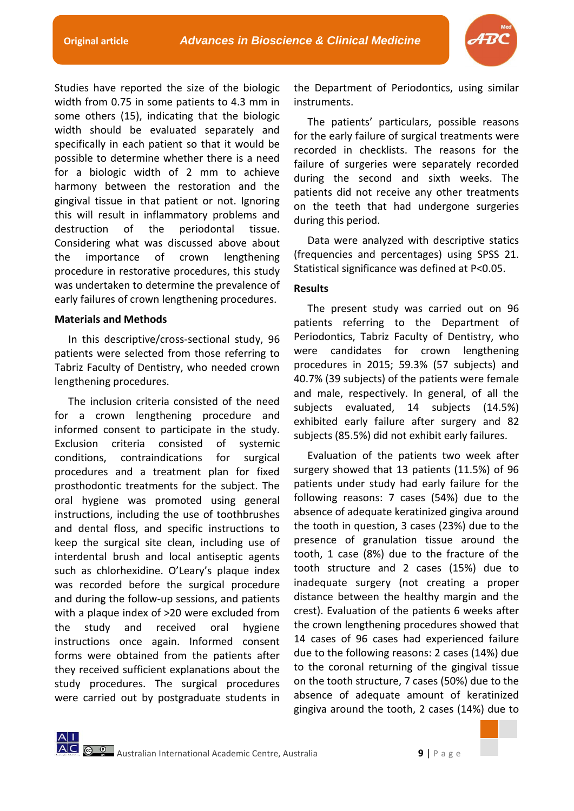

Studies have reported the size of the biologic width from 0.75 in some patients to 4.3 mm in some others (15), indicating that the biologic width should be evaluated separately and specifically in each patient so that it would be possible to determine whether there is a need for a biologic width of 2 mm to achieve harmony between the restoration and the gingival tissue in that patient or not. Ignoring this will result in inflammatory problems and destruction of the periodontal tissue. Considering what was discussed above about the importance of crown lengthening procedure in restorative procedures, this study was undertaken to determine the prevalence of early failures of crown lengthening procedures.

## **Materials and Methods**

In this descriptive/cross-sectional study, 96 patients were selected from those referring to Tabriz Faculty of Dentistry, who needed crown lengthening procedures.

The inclusion criteria consisted of the need for a crown lengthening procedure and informed consent to participate in the study. Exclusion criteria consisted of systemic conditions, contraindications for surgical procedures and a treatment plan for fixed prosthodontic treatments for the subject. The oral hygiene was promoted using general instructions, including the use of toothbrushes and dental floss, and specific instructions to keep the surgical site clean, including use of interdental brush and local antiseptic agents such as chlorhexidine. O'Leary's plaque index was recorded before the surgical procedure and during the follow-up sessions, and patients with a plaque index of >20 were excluded from the study and received oral hygiene instructions once again. Informed consent forms were obtained from the patients after they received sufficient explanations about the study procedures. The surgical procedures were carried out by postgraduate students in

the Department of Periodontics, using similar instruments.

The patients' particulars, possible reasons for the early failure of surgical treatments were recorded in checklists. The reasons for the failure of surgeries were separately recorded during the second and sixth weeks. The patients did not receive any other treatments on the teeth that had undergone surgeries during this period.

Data were analyzed with descriptive statics (frequencies and percentages) using SPSS 21. Statistical significance was defined at P<0.05.

## **Results**

The present study was carried out on 96 patients referring to the Department of Periodontics, Tabriz Faculty of Dentistry, who were candidates for crown lengthening procedures in 2015; 59.3% (57 subjects) and 40.7% (39 subjects) of the patients were female and male, respectively. In general, of all the subjects evaluated, 14 subjects (14.5%) exhibited early failure after surgery and 82 subjects (85.5%) did not exhibit early failures.

Evaluation of the patients two week after surgery showed that 13 patients (11.5%) of 96 patients under study had early failure for the following reasons: 7 cases (54%) due to the absence of adequate keratinized gingiva around the tooth in question, 3 cases (23%) due to the presence of granulation tissue around the tooth, 1 case (8%) due to the fracture of the tooth structure and 2 cases (15%) due to inadequate surgery (not creating a proper distance between the healthy margin and the crest). Evaluation of the patients 6 weeks after the crown lengthening procedures showed that 14 cases of 96 cases had experienced failure due to the following reasons: 2 cases (14%) due to the coronal returning of the gingival tissue on the tooth structure, 7 cases (50%) due to the absence of adequate amount of keratinized gingiva around the tooth, 2 cases (14%) due to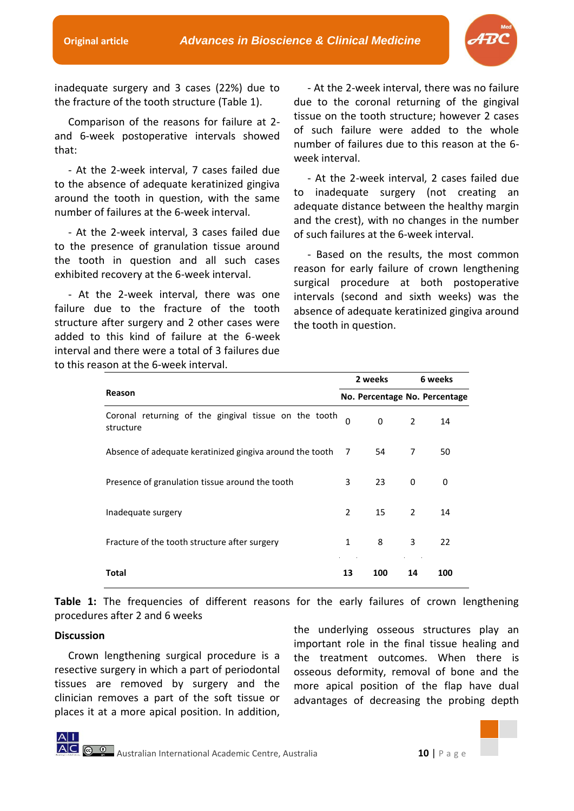

inadequate surgery and 3 cases (22%) due to the fracture of the tooth structure (Table 1).

Comparison of the reasons for failure at 2 and 6-week postoperative intervals showed that:

- At the 2-week interval, 7 cases failed due to the absence of adequate keratinized gingiva around the tooth in question, with the same number of failures at the 6-week interval.

- At the 2-week interval, 3 cases failed due to the presence of granulation tissue around the tooth in question and all such cases exhibited recovery at the 6-week interval.

- At the 2-week interval, there was one failure due to the fracture of the tooth structure after surgery and 2 other cases were added to this kind of failure at the 6-week interval and there were a total of 3 failures due to this reason at the 6-week interval.

- At the 2-week interval, there was no failure due to the coronal returning of the gingival tissue on the tooth structure; however 2 cases of such failure were added to the whole number of failures due to this reason at the 6 week interval.

- At the 2-week interval, 2 cases failed due to inadequate surgery (not creating an adequate distance between the healthy margin and the crest), with no changes in the number of such failures at the 6-week interval.

- Based on the results, the most common reason for early failure of crown lengthening surgical procedure at both postoperative intervals (second and sixth weeks) was the absence of adequate keratinized gingiva around the tooth in question.

|                                                                    |              | 2 weeks                       |                | 6 weeks |  |
|--------------------------------------------------------------------|--------------|-------------------------------|----------------|---------|--|
| Reason                                                             |              | No. Percentage No. Percentage |                |         |  |
| Coronal returning of the gingival tissue on the tooth<br>structure | $\Omega$     | $\Omega$                      | $\overline{2}$ | 14      |  |
| Absence of adequate keratinized gingiva around the tooth 7         |              | 54                            | 7              | 50      |  |
| Presence of granulation tissue around the tooth                    | 3            | 23                            | $\Omega$       | 0       |  |
| Inadequate surgery                                                 | 2            | 15                            | $\mathcal{P}$  | 14      |  |
| Fracture of the tooth structure after surgery                      | $\mathbf{1}$ | 8                             | 3              | 22      |  |
| Total                                                              | 13           | 100                           | 14             | 100     |  |

**Table 1:** The frequencies of different reasons for the early failures of crown lengthening procedures after 2 and 6 weeks

## **Discussion**

Crown lengthening surgical procedure is a resective surgery in which a part of periodontal tissues are removed by surgery and the clinician removes a part of the soft tissue or places it at a more apical position. In addition,

the underlying osseous structures play an important role in the final tissue healing and the treatment outcomes. When there is osseous deformity, removal of bone and the more apical position of the flap have dual advantages of decreasing the probing depth

Australian International Academic Centre, Australia **10** | P a g e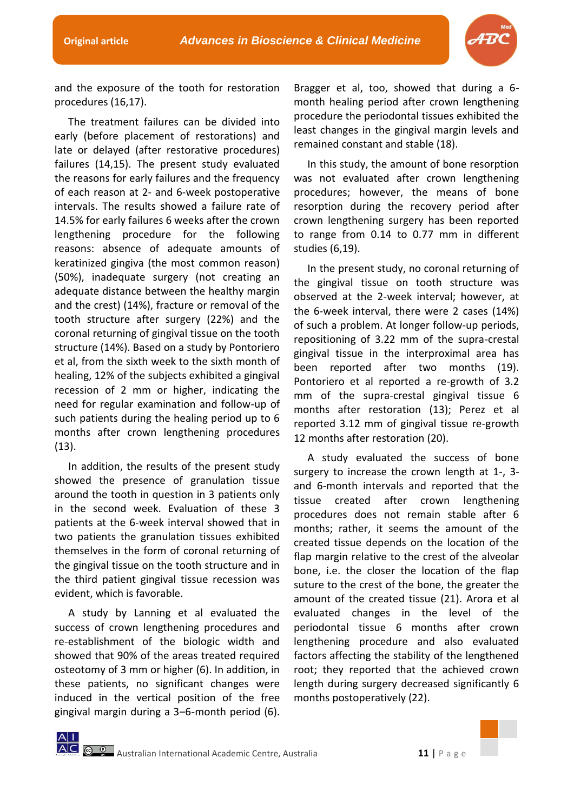

and the exposure of the tooth for restoration procedures (16,17).

The treatment failures can be divided into early (before placement of restorations) and late or delayed (after restorative procedures) failures (14,15). The present study evaluated the reasons for early failures and the frequency of each reason at 2- and 6-week postoperative intervals. The results showed a failure rate of 14.5% for early failures 6 weeks after the crown lengthening procedure for the following reasons: absence of adequate amounts of keratinized gingiva (the most common reason) (50%), inadequate surgery (not creating an adequate distance between the healthy margin and the crest) (14%), fracture or removal of the tooth structure after surgery (22%) and the coronal returning of gingival tissue on the tooth structure (14%). Based on a study by Pontoriero et al, from the sixth week to the sixth month of healing, 12% of the subjects exhibited a gingival recession of 2 mm or higher, indicating the need for regular examination and follow-up of such patients during the healing period up to 6 months after crown lengthening procedures (13).

In addition, the results of the present study showed the presence of granulation tissue around the tooth in question in 3 patients only in the second week. Evaluation of these 3 patients at the 6-week interval showed that in two patients the granulation tissues exhibited themselves in the form of coronal returning of the gingival tissue on the tooth structure and in the third patient gingival tissue recession was evident, which is favorable.

A study by Lanning et al evaluated the success of crown lengthening procedures and re-establishment of the biologic width and showed that 90% of the areas treated required osteotomy of 3 mm or higher (6). In addition, in these patients, no significant changes were induced in the vertical position of the free gingival margin during a 3‒6-month period (6). Bragger et al, too, showed that during a 6 month healing period after crown lengthening procedure the periodontal tissues exhibited the least changes in the gingival margin levels and remained constant and stable (18).

In this study, the amount of bone resorption was not evaluated after crown lengthening procedures; however, the means of bone resorption during the recovery period after crown lengthening surgery has been reported to range from 0.14 to 0.77 mm in different studies (6,19).

In the present study, no coronal returning of the gingival tissue on tooth structure was observed at the 2-week interval; however, at the 6-week interval, there were 2 cases (14%) of such a problem. At longer follow-up periods, repositioning of 3.22 mm of the supra-crestal gingival tissue in the interproximal area has been reported after two months (19). Pontoriero et al reported a re-growth of 3.2 mm of the supra-crestal gingival tissue 6 months after restoration (13); Perez et al reported 3.12 mm of gingival tissue re-growth 12 months after restoration (20).

A study evaluated the success of bone surgery to increase the crown length at 1-, 3 and 6-month intervals and reported that the tissue created after crown lengthening procedures does not remain stable after 6 months; rather, it seems the amount of the created tissue depends on the location of the flap margin relative to the crest of the alveolar bone, i.e. the closer the location of the flap suture to the crest of the bone, the greater the amount of the created tissue (21). Arora et al evaluated changes in the level of the periodontal tissue 6 months after crown lengthening procedure and also evaluated factors affecting the stability of the lengthened root; they reported that the achieved crown length during surgery decreased significantly 6 months postoperatively (22).

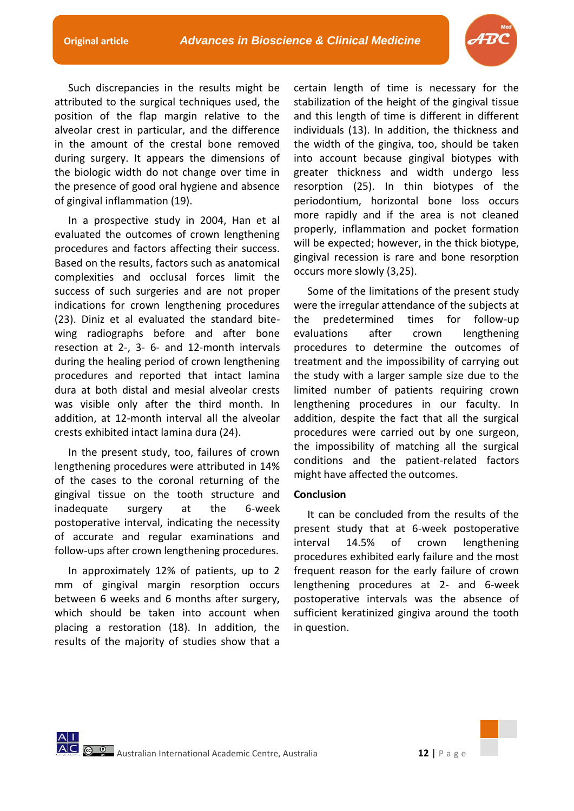

Such discrepancies in the results might be attributed to the surgical techniques used, the position of the flap margin relative to the alveolar crest in particular, and the difference in the amount of the crestal bone removed during surgery. It appears the dimensions of the biologic width do not change over time in the presence of good oral hygiene and absence of gingival inflammation (19).

In a prospective study in 2004, Han et al evaluated the outcomes of crown lengthening procedures and factors affecting their success. Based on the results, factors such as anatomical complexities and occlusal forces limit the success of such surgeries and are not proper indications for crown lengthening procedures (23). Diniz et al evaluated the standard bitewing radiographs before and after bone resection at 2-, 3- 6- and 12-month intervals during the healing period of crown lengthening procedures and reported that intact lamina dura at both distal and mesial alveolar crests was visible only after the third month. In addition, at 12-month interval all the alveolar crests exhibited intact lamina dura (24).

In the present study, too, failures of crown lengthening procedures were attributed in 14% of the cases to the coronal returning of the gingival tissue on the tooth structure and inadequate surgery at the 6-week postoperative interval, indicating the necessity of accurate and regular examinations and follow-ups after crown lengthening procedures.

In approximately 12% of patients, up to 2 mm of gingival margin resorption occurs between 6 weeks and 6 months after surgery, which should be taken into account when placing a restoration (18). In addition, the results of the majority of studies show that a

certain length of time is necessary for the stabilization of the height of the gingival tissue and this length of time is different in different individuals (13). In addition, the thickness and the width of the gingiva, too, should be taken into account because gingival biotypes with greater thickness and width undergo less resorption (25). In thin biotypes of the periodontium, horizontal bone loss occurs more rapidly and if the area is not cleaned properly, inflammation and pocket formation will be expected; however, in the thick biotype, gingival recession is rare and bone resorption occurs more slowly (3,25).

Some of the limitations of the present study were the irregular attendance of the subjects at the predetermined times for follow-up evaluations after crown lengthening procedures to determine the outcomes of treatment and the impossibility of carrying out the study with a larger sample size due to the limited number of patients requiring crown lengthening procedures in our faculty. In addition, despite the fact that all the surgical procedures were carried out by one surgeon, the impossibility of matching all the surgical conditions and the patient-related factors might have affected the outcomes.

#### **Conclusion**

It can be concluded from the results of the present study that at 6-week postoperative interval 14.5% of crown lengthening procedures exhibited early failure and the most frequent reason for the early failure of crown lengthening procedures at 2- and 6-week postoperative intervals was the absence of sufficient keratinized gingiva around the tooth in question.

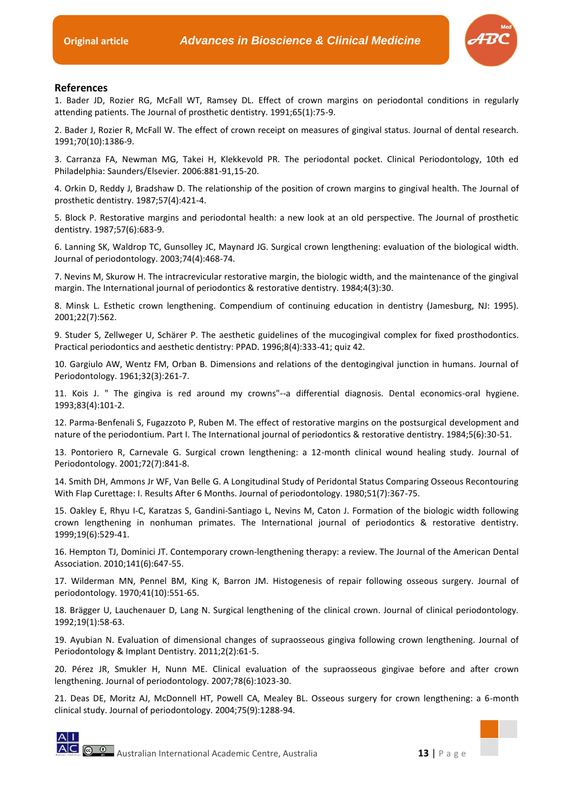

#### **References**

1. Bader JD, Rozier RG, McFall WT, Ramsey DL. Effect of crown margins on periodontal conditions in regularly attending patients. The Journal of prosthetic dentistry. 1991;65(1):75-9.

2. Bader J, Rozier R, McFall W. The effect of crown receipt on measures of gingival status. Journal of dental research. 1991;70(10):1386-9.

3. Carranza FA, Newman MG, Takei H, Klekkevold PR. The periodontal pocket. Clinical Periodontology, 10th ed Philadelphia: Saunders/Elsevier. 2006:881-91,15-20.

4. Orkin D, Reddy J, Bradshaw D. The relationship of the position of crown margins to gingival health. The Journal of prosthetic dentistry. 1987;57(4):421-4.

5. Block P. Restorative margins and periodontal health: a new look at an old perspective. The Journal of prosthetic dentistry. 1987;57(6):683-9.

6. Lanning SK, Waldrop TC, Gunsolley JC, Maynard JG. Surgical crown lengthening: evaluation of the biological width. Journal of periodontology. 2003;74(4):468-74.

7. Nevins M, Skurow H. The intracrevicular restorative margin, the biologic width, and the maintenance of the gingival margin. The International journal of periodontics & restorative dentistry. 1984;4(3):30.

8. Minsk L. Esthetic crown lengthening. Compendium of continuing education in dentistry (Jamesburg, NJ: 1995). 2001;22(7):562.

9. Studer S, Zellweger U, Schärer P. The aesthetic guidelines of the mucogingival complex for fixed prosthodontics. Practical periodontics and aesthetic dentistry: PPAD. 1996;8(4):333-41; quiz 42.

10. Gargiulo AW, Wentz FM, Orban B. Dimensions and relations of the dentogingival junction in humans. Journal of Periodontology. 1961;32(3):261-7.

11. Kois J. " The gingiva is red around my crowns"--a differential diagnosis. Dental economics-oral hygiene. 1993;83(4):101-2.

12. Parma-Benfenali S, Fugazzoto P, Ruben M. The effect of restorative margins on the postsurgical development and nature of the periodontium. Part I. The International journal of periodontics & restorative dentistry. 1984;5(6):30-51.

13. Pontoriero R, Carnevale G. Surgical crown lengthening: a 12-month clinical wound healing study. Journal of Periodontology. 2001;72(7):841-8.

14. Smith DH, Ammons Jr WF, Van Belle G. A Longitudinal Study of Peridontal Status Comparing Osseous Recontouring With Flap Curettage: I. Results After 6 Months. Journal of periodontology. 1980;51(7):367-75.

15. Oakley E, Rhyu I-C, Karatzas S, Gandini-Santiago L, Nevins M, Caton J. Formation of the biologic width following crown lengthening in nonhuman primates. The International journal of periodontics & restorative dentistry. 1999;19(6):529-41.

16. Hempton TJ, Dominici JT. Contemporary crown-lengthening therapy: a review. The Journal of the American Dental Association. 2010;141(6):647-55.

17. Wilderman MN, Pennel BM, King K, Barron JM. Histogenesis of repair following osseous surgery. Journal of periodontology. 1970;41(10):551-65.

18. Brägger U, Lauchenauer D, Lang N. Surgical lengthening of the clinical crown. Journal of clinical periodontology. 1992;19(1):58-63.

19. Ayubian N. Evaluation of dimensional changes of supraosseous gingiva following crown lengthening. Journal of Periodontology & Implant Dentistry. 2011;2(2):61-5.

20. Pérez JR, Smukler H, Nunn ME. Clinical evaluation of the supraosseous gingivae before and after crown lengthening. Journal of periodontology. 2007;78(6):1023-30.

21. Deas DE, Moritz AJ, McDonnell HT, Powell CA, Mealey BL. Osseous surgery for crown lengthening: a 6-month clinical study. Journal of periodontology. 2004;75(9):1288-94.